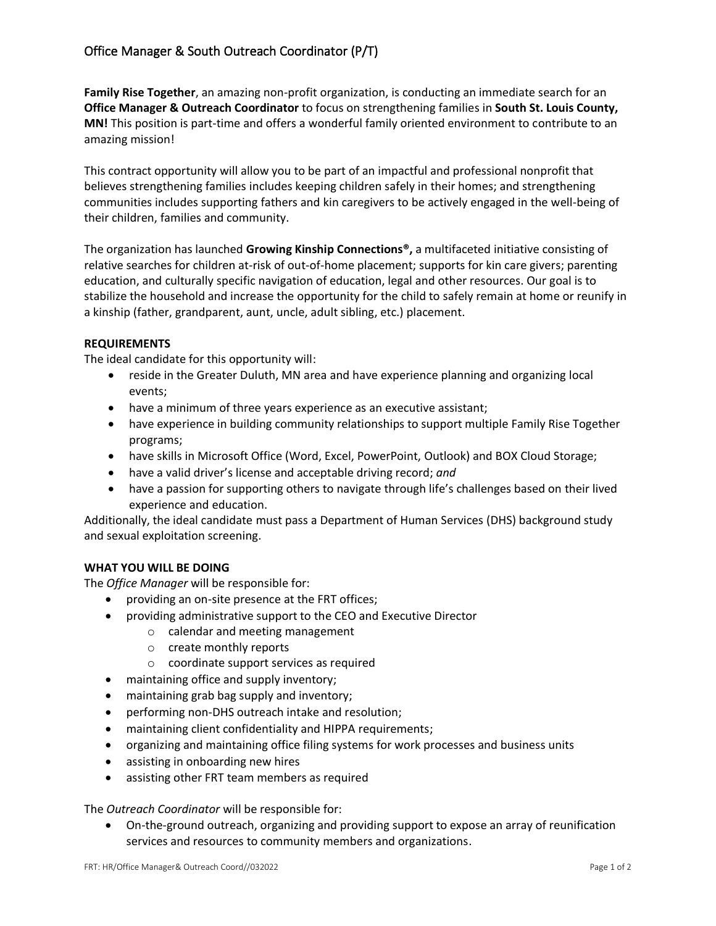**Family Rise Together**, an amazing non-profit organization, is conducting an immediate search for an **Office Manager & Outreach Coordinator** to focus on strengthening families in **South St. Louis County, MN!** This position is part-time and offers a wonderful family oriented environment to contribute to an amazing mission!

This contract opportunity will allow you to be part of an impactful and professional nonprofit that believes strengthening families includes keeping children safely in their homes; and strengthening communities includes supporting fathers and kin caregivers to be actively engaged in the well-being of their children, families and community.

The organization has launched **Growing Kinship Connections®,** a multifaceted initiative consisting of relative searches for children at-risk of out-of-home placement; supports for kin care givers; parenting education, and culturally specific navigation of education, legal and other resources. Our goal is to stabilize the household and increase the opportunity for the child to safely remain at home or reunify in a kinship (father, grandparent, aunt, uncle, adult sibling, etc.) placement.

## **REQUIREMENTS**

The ideal candidate for this opportunity will:

- reside in the Greater Duluth, MN area and have experience planning and organizing local events;
- have a minimum of three years experience as an executive assistant;
- have experience in building community relationships to support multiple Family Rise Together programs;
- have skills in Microsoft Office (Word, Excel, PowerPoint, Outlook) and BOX Cloud Storage;
- have a valid driver's license and acceptable driving record; *and*
- have a passion for supporting others to navigate through life's challenges based on their lived experience and education.

Additionally, the ideal candidate must pass a Department of Human Services (DHS) background study and sexual exploitation screening.

## **WHAT YOU WILL BE DOING**

The *Office Manager* will be responsible for:

- providing an on-site presence at the FRT offices;
- providing administrative support to the CEO and Executive Director
	- o calendar and meeting management
		- o create monthly reports
	- o coordinate support services as required
- maintaining office and supply inventory;
- maintaining grab bag supply and inventory;
- performing non-DHS outreach intake and resolution;
- maintaining client confidentiality and HIPPA requirements;
- organizing and maintaining office filing systems for work processes and business units
- assisting in onboarding new hires
- assisting other FRT team members as required

The *Outreach Coordinator* will be responsible for:

• On-the-ground outreach, organizing and providing support to expose an array of reunification services and resources to community members and organizations.